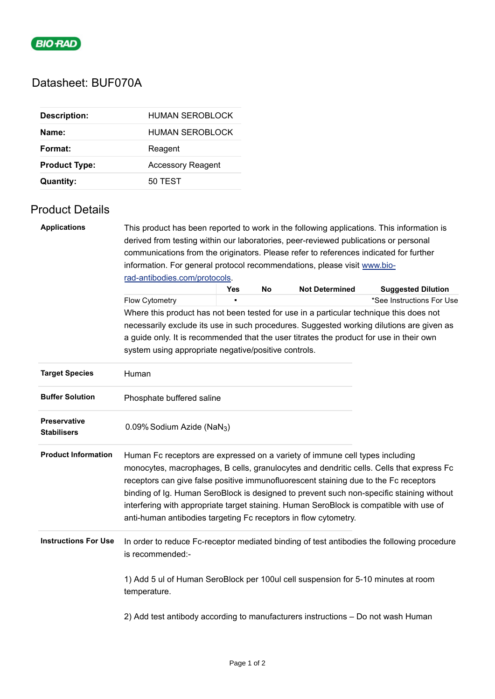

## Datasheet: BUF070A

| <b>Description:</b>  | HUMAN SEROBLOCK          |
|----------------------|--------------------------|
| Name:                | HUMAN SEROBLOCK          |
| Format:              | Reagent                  |
| <b>Product Type:</b> | <b>Accessory Reagent</b> |
| <b>Quantity:</b>     | 50 TEST                  |

## Product Details

| <b>Applications</b>         | This product has been reported to work in the following applications. This information is                      |            |    |                       |  |                           |  |  |
|-----------------------------|----------------------------------------------------------------------------------------------------------------|------------|----|-----------------------|--|---------------------------|--|--|
|                             | derived from testing within our laboratories, peer-reviewed publications or personal                           |            |    |                       |  |                           |  |  |
|                             | communications from the originators. Please refer to references indicated for further                          |            |    |                       |  |                           |  |  |
|                             | information. For general protocol recommendations, please visit www.bio-                                       |            |    |                       |  |                           |  |  |
|                             | rad-antibodies.com/protocols.                                                                                  |            |    |                       |  |                           |  |  |
|                             |                                                                                                                | <b>Yes</b> | No | <b>Not Determined</b> |  | <b>Suggested Dilution</b> |  |  |
|                             | Flow Cytometry                                                                                                 |            |    |                       |  | *See Instructions For Use |  |  |
|                             | Where this product has not been tested for use in a particular technique this does not                         |            |    |                       |  |                           |  |  |
|                             | necessarily exclude its use in such procedures. Suggested working dilutions are given as                       |            |    |                       |  |                           |  |  |
|                             | a guide only. It is recommended that the user titrates the product for use in their own                        |            |    |                       |  |                           |  |  |
|                             | system using appropriate negative/positive controls.                                                           |            |    |                       |  |                           |  |  |
|                             |                                                                                                                |            |    |                       |  |                           |  |  |
| <b>Target Species</b>       | Human                                                                                                          |            |    |                       |  |                           |  |  |
|                             |                                                                                                                |            |    |                       |  |                           |  |  |
| <b>Buffer Solution</b>      | Phosphate buffered saline                                                                                      |            |    |                       |  |                           |  |  |
| Preservative                |                                                                                                                |            |    |                       |  |                           |  |  |
| <b>Stabilisers</b>          | 0.09% Sodium Azide (NaN <sub>3</sub> )                                                                         |            |    |                       |  |                           |  |  |
| <b>Product Information</b>  | Human Fc receptors are expressed on a variety of immune cell types including                                   |            |    |                       |  |                           |  |  |
|                             | monocytes, macrophages, B cells, granulocytes and dendritic cells. Cells that express Fc                       |            |    |                       |  |                           |  |  |
|                             | receptors can give false positive immunofluorescent staining due to the Fc receptors                           |            |    |                       |  |                           |  |  |
|                             | binding of Ig. Human SeroBlock is designed to prevent such non-specific staining without                       |            |    |                       |  |                           |  |  |
|                             | interfering with appropriate target staining. Human SeroBlock is compatible with use of                        |            |    |                       |  |                           |  |  |
|                             | anti-human antibodies targeting Fc receptors in flow cytometry.                                                |            |    |                       |  |                           |  |  |
| <b>Instructions For Use</b> |                                                                                                                |            |    |                       |  |                           |  |  |
|                             | In order to reduce Fc-receptor mediated binding of test antibodies the following procedure<br>is recommended:- |            |    |                       |  |                           |  |  |
|                             |                                                                                                                |            |    |                       |  |                           |  |  |
|                             | 1) Add 5 ul of Human SeroBlock per 100ul cell suspension for 5-10 minutes at room                              |            |    |                       |  |                           |  |  |
|                             | temperature.                                                                                                   |            |    |                       |  |                           |  |  |
|                             |                                                                                                                |            |    |                       |  |                           |  |  |
|                             | 2) Add test antibody according to manufacturers instructions - Do not wash Human                               |            |    |                       |  |                           |  |  |